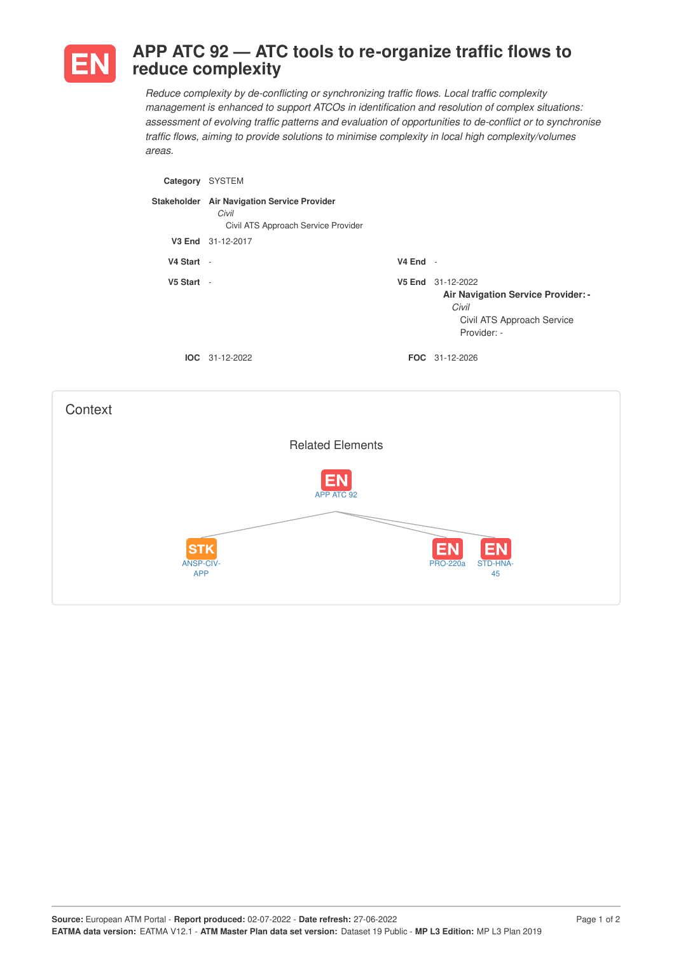

## **APP ATC 92 — ATC tools to re-organize traffic flows to reduce complexity**

*Reduce complexity by de-conflicting or synchronizing traffic flows. Local traffic complexity management is enhanced to support ATCOs in identification and resolution of complex situations: assessment of evolving traffic patterns and evaluation of opportunities to de-conflict or to synchronise traffic flows, aiming to provide solutions to minimise complexity in local high complexity/volumes areas.*